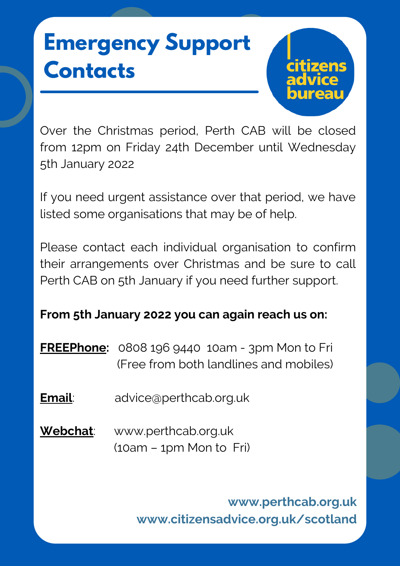# **Emergency Support Contacts**



Over the Christmas period, Perth CAB will be closed from 12pm on Friday 24th December until Wednesday 5th January 2022

If you need urgent assistance over that period, we have listed some organisations that may be of help.

Please contact each individual organisation to confirm their arrangements over Christmas and be sure to call Perth CAB on 5th January if you need further support.

### **From 5th January 2022 you can again reach us on:**

**FREEPhone:** 0808 196 9440 10am - 3pm Mon to Fri (Free from both landlines and mobiles)

- **Email**: [advice@perthcab.org.uk](mailto:advice@perthcab.org.uk)
- **Webchat**: www.perthcab.org.uk (10am – 1pm Mon to Fri)

**www.perthcab.org.uk www.citizensadvice.org.uk/scotland**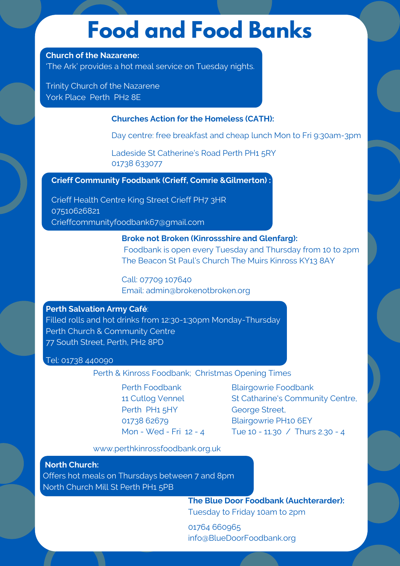### **Food and Food Banks**

#### **Church of the Nazarene:**

'The Ark' provides a hot meal service on Tuesday nights.

Trinity Church of the Nazarene York Place Perth PH2 8E

#### **Churches Action for the Homeless (CATH):**

Day centre: free breakfast and cheap lunch Mon to Fri 9:30am-3pm

Ladeside St Catherine's Road Perth PH1 5RY 01738 633077

#### **Crieff Community Foodbank (Crieff, Comrie &Gilmerton) :**

Crieff Health Centre King Street Crieff PH7 3HR 07510626821 Crieffcommunityfoodbank67@gmail.com

> **Broke not Broken (Kinrossshire and Glenfarg):** Foodbank is open every Tuesday and Thursday from 10 to 2pm The Beacon St Paul's Church The Muirs Kinross KY13 8AY

Call: 07709 107640 Email: admin@brokenotbroken.org

#### **Perth Salvation Army Café**:

Filled rolls and hot drinks from 12:30-1:30pm Monday-Thursday Perth Church & Community Centre 77 South Street, Perth, PH2 8PD

#### Tel: 01738 440090

Perth & Kinross Foodbank; Christmas Opening Times

Perth Foodbank 11 Cutlog Vennel Perth PH1 5HY 01738 62679 Mon - Wed - Fri 12 - 4 Blairgowrie Foodbank St Catharine's Community Centre, George Street, Blairgowrie PH10 6EY Tue 10 - 11.30 / Thurs 2.30 - 4

www.perthkinrossfoodbank.org.uk

**North Church:** Offers hot meals on Thursdays between 7 and 8pm North Church Mill St Perth PH1 5PB

> **The Blue Door Foodbank (Auchterarder):** Tuesday to Friday 10am to 2pm

01764 660965 info@BlueDoorFoodbank.org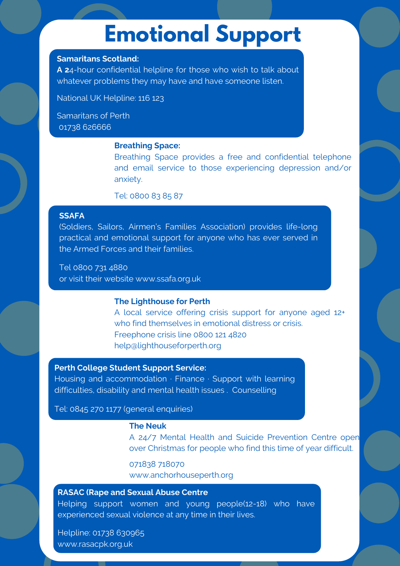### **Emotional Support**

#### **Samaritans Scotland:**

**A 2**4-hour confidential helpline for those who wish to talk about whatever problems they may have and have someone listen.

National UK Helpline: 116 123

Samaritans of Perth 01738 626666

#### **Breathing Space:**

Breathing Space provides a free and confidential telephone and email service to those experiencing depression and/or anxiety.

Tel: 0800 83 85 87

#### **SSAFA**

(Soldiers, Sailors, Airmen's Families Association) provides life-long practical and emotional support for anyone who has ever served in the Armed Forces and their families.

Tel 0800 731 4880 or visit their website www.ssafa.org.uk

#### **The Lighthouse for Perth**

A local service offering crisis support for anyone aged 12+ who find themselves in emotional distress or crisis. Freephone crisis line 0800 121 4820 help@lighthouseforperth.org

#### **Perth College Student Support Service:**

Housing and accommodation · Finance · Support with learning difficulties, disability and mental health issues . Counselling

Tel: 0845 270 1177 (general enquiries)

#### **The Neuk**

A 24/7 Mental Health and Suicide Prevention Centre open over Christmas for people who find this time of year difficult.

071838 718070 [www.anchorhouseperth.org](http://www.anchorhouseperth.org/)

#### **RASAC (Rape and Sexual Abuse Centre**

Helping support women and young people(12-18) who have experienced sexual violence at any time in their lives.

Helpline: 01738 630965 [www.rasacpk.org.uk](http://www.rasacpk.org.uk/)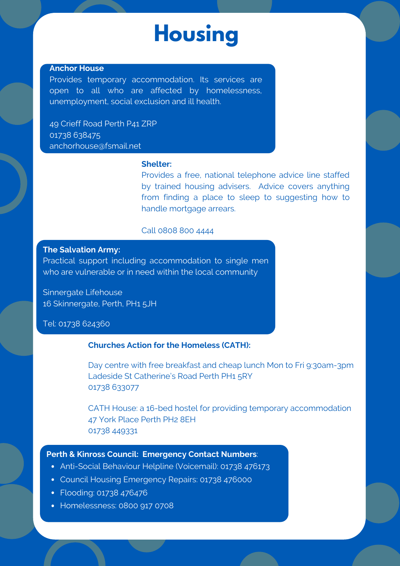## **Housing**

#### **Anchor House**

Provides temporary accommodation. Its services are open to all who are affected by homelessness, unemployment, social exclusion and ill health.

49 Crieff Road Perth P41 ZRP 01738 638475 anchorhouse@fsmail.net

#### **Shelter:**

Provides a free, national telephone advice line staffed by trained housing advisers. Advice covers anything from finding a place to sleep to suggesting how to handle mortgage arrears.

#### Call 0808 800 4444

#### **The Salvation Army:**

Practical support including accommodation to single men who are vulnerable or in need within the local community

Sinnergate Lifehouse 16 Skinnergate, Perth, PH1 5JH

#### Tel: 01738 624360

#### **Churches Action for the Homeless (CATH):**

Day centre with free breakfast and cheap lunch Mon to Fri 9:30am-3pm Ladeside St Catherine's Road Perth PH1 5RY 01738 633077

CATH House: a 16-bed hostel for providing temporary accommodation 47 York Place Perth PH2 8EH 01738 449331

#### **Perth & Kinross Council: Emergency Contact Numbers**:

- Anti-Social Behaviour Helpline (Voicemail): 01738 476173
- Council Housing Emergency Repairs: 01738 476000
- Flooding: 01738 476476
- Homelessness: 0800 917 0708